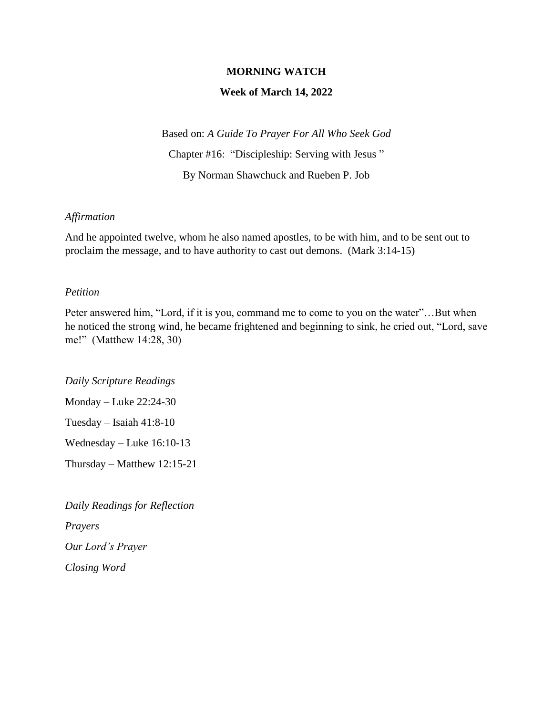### **MORNING WATCH**

#### **Week of March 14, 2022**

Based on: *A Guide To Prayer For All Who Seek God* Chapter #16: "Discipleship: Serving with Jesus " By Norman Shawchuck and Rueben P. Job

#### *Affirmation*

And he appointed twelve, whom he also named apostles, to be with him, and to be sent out to proclaim the message, and to have authority to cast out demons. (Mark 3:14-15)

#### *Petition*

Peter answered him, "Lord, if it is you, command me to come to you on the water"…But when he noticed the strong wind, he became frightened and beginning to sink, he cried out, "Lord, save me!" (Matthew 14:28, 30)

*Daily Scripture Readings*

Monday – Luke 22:24-30

Tuesday – Isaiah 41:8-10

Wednesday – Luke 16:10-13

Thursday – Matthew 12:15-21

*Daily Readings for Reflection Prayers Our Lord's Prayer Closing Word*